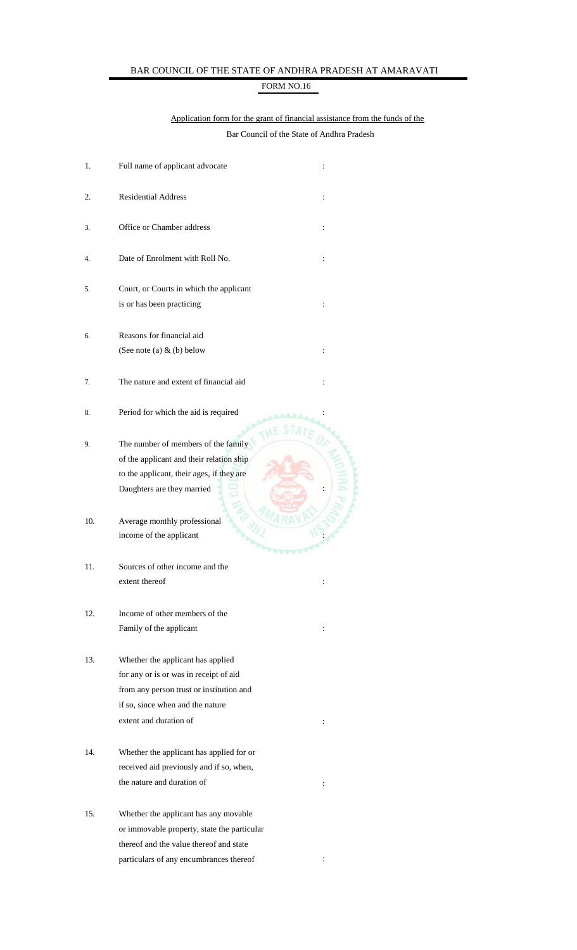## BAR COUNCIL OF THE STATE OF ANDHRA PRADESH AT AMARAVATI

## FORM NO.16

## Application form for the grant of financial assistance from the funds of the Bar Council of the State of Andhra Pradesh

| 1.  | Full name of applicant advocate                                                                                                                                                                         |  |
|-----|---------------------------------------------------------------------------------------------------------------------------------------------------------------------------------------------------------|--|
| 2.  | <b>Residential Address</b><br>$\ddot{\cdot}$                                                                                                                                                            |  |
| 3.  | Office or Chamber address<br>$\ddot{\cdot}$                                                                                                                                                             |  |
| 4.  | Date of Enrolment with Roll No.<br>$\ddot{\cdot}$                                                                                                                                                       |  |
| 5.  | Court, or Courts in which the applicant                                                                                                                                                                 |  |
|     | is or has been practicing<br>$\ddot{\cdot}$                                                                                                                                                             |  |
| 6.  | Reasons for financial aid<br>(See note (a) $\&$ (b) below<br>$\ddot{\cdot}$                                                                                                                             |  |
| 7.  | The nature and extent of financial aid<br>$\ddot{\cdot}$                                                                                                                                                |  |
| 8.  | Period for which the aid is required                                                                                                                                                                    |  |
| 9.  | The number of members of the family<br>of the applicant and their relation ship<br>to the applicant, their ages, if they are<br>Daughters are they married                                              |  |
| 10. | Average monthly professional<br>income of the applicant                                                                                                                                                 |  |
| 11. | Sources of other income and the<br>extent thereof<br>$\ddot{\cdot}$                                                                                                                                     |  |
| 12. | Income of other members of the<br>Family of the applicant<br>:                                                                                                                                          |  |
| 13. | Whether the applicant has applied<br>for any or is or was in receipt of aid<br>from any person trust or institution and<br>if so, since when and the nature<br>extent and duration of<br>$\ddot{\cdot}$ |  |
| 14. | Whether the applicant has applied for or<br>received aid previously and if so, when,<br>the nature and duration of<br>$\ddot{\cdot}$                                                                    |  |
| 15. | Whether the applicant has any movable<br>or immovable property, state the particular                                                                                                                    |  |

thereof and the value thereof and state  $\,$  particulars of any encumbrances thereof  $\,$  :